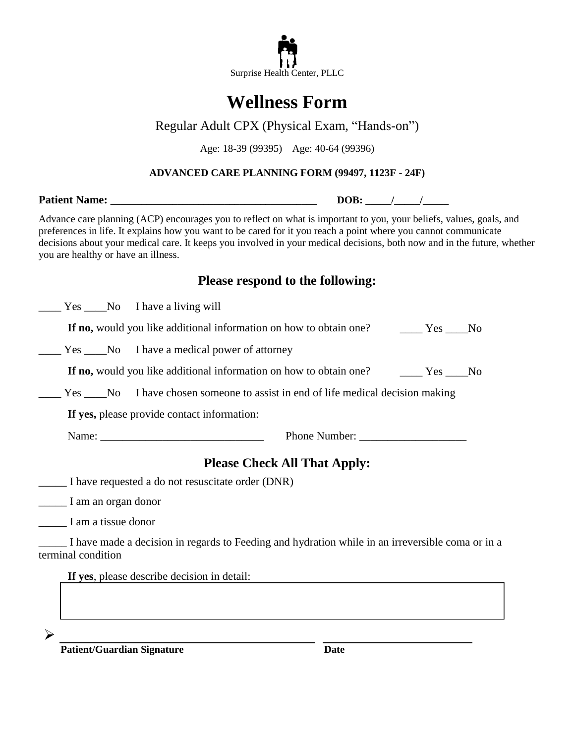

# **Wellness Form**

## Regular Adult CPX (Physical Exam, "Hands-on")

Age: 18-39 (99395) Age: 40-64 (99396)

#### **ADVANCED CARE PLANNING FORM (99497, 1123F - 24F)**

**Patient Name:** *DOB:* **//** 

Advance care planning (ACP) encourages you to reflect on what is important to you, your beliefs, values, goals, and preferences in life. It explains how you want to be cared for it you reach a point where you cannot communicate decisions about your medical care. It keeps you involved in your medical decisions, both now and in the future, whether you are healthy or have an illness.

### **Please respond to the following:**

Yes \_\_\_\_No I have a living will

**If no,** would you like additional information on how to obtain one? \_\_\_\_\_ Yes \_\_\_No

**EXECURE 1.1.** Yes <u>CHI</u> No I have a medical power of attorney

**If no,** would you like additional information on how to obtain one?  $Yes$  \_\_\_\_\_\_No

Yes No I have chosen someone to assist in end of life medical decision making

**If yes,** please provide contact information:

Name: \_\_\_\_\_\_\_\_\_\_\_\_\_\_\_\_\_\_\_\_\_\_\_\_\_\_\_\_\_ Phone Number: \_\_\_\_\_\_\_\_\_\_\_\_\_\_\_\_\_\_\_

## **Please Check All That Apply:**

\_\_\_\_\_ I have requested a do not resuscitate order (DNR)

\_\_\_\_\_ I am an organ donor

\_\_\_\_\_ I am a tissue donor

 $\blacktriangleright$ 

\_\_\_\_\_ I have made a decision in regards to Feeding and hydration while in an irreversible coma or in a terminal condition

**If yes**, please describe decision in detail:

**Patient/Guardian Signature Date**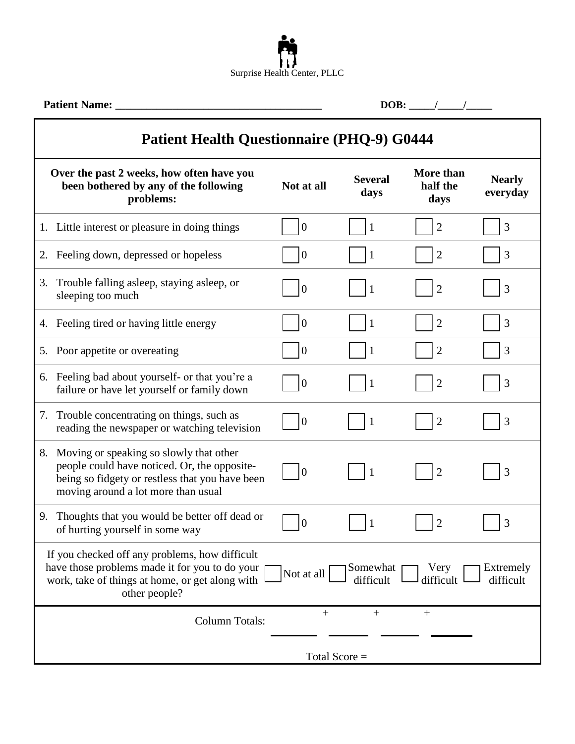

| <b>Patient Name:</b>                                                                                                                                                                                                                                       |                  |                        |                               |                           |  |  |
|------------------------------------------------------------------------------------------------------------------------------------------------------------------------------------------------------------------------------------------------------------|------------------|------------------------|-------------------------------|---------------------------|--|--|
| <b>Patient Health Questionnaire (PHQ-9) G0444</b>                                                                                                                                                                                                          |                  |                        |                               |                           |  |  |
| Over the past 2 weeks, how often have you<br>been bothered by any of the following<br>problems:                                                                                                                                                            | Not at all       | <b>Several</b><br>days | More than<br>half the<br>days | <b>Nearly</b><br>everyday |  |  |
| 1. Little interest or pleasure in doing things                                                                                                                                                                                                             | $\Omega$         |                        | $\overline{2}$                | 3                         |  |  |
| 2. Feeling down, depressed or hopeless                                                                                                                                                                                                                     | $\boldsymbol{0}$ | 1                      | $\overline{c}$                | 3                         |  |  |
| 3. Trouble falling asleep, staying asleep, or<br>sleeping too much                                                                                                                                                                                         | $\theta$         | -1                     | $\overline{2}$                | 3                         |  |  |
| 4. Feeling tired or having little energy                                                                                                                                                                                                                   | $\theta$         | $\mathbf{1}$           | $\overline{2}$                | 3                         |  |  |
| 5. Poor appetite or overeating                                                                                                                                                                                                                             | $\Omega$         |                        | $\overline{2}$                | 3                         |  |  |
| 6. Feeling bad about yourself- or that you're a<br>failure or have let yourself or family down                                                                                                                                                             | $\theta$         |                        | $\overline{2}$                | 3                         |  |  |
| 7. Trouble concentrating on things, such as<br>reading the newspaper or watching television                                                                                                                                                                | $\overline{0}$   |                        | $\overline{2}$                | 3                         |  |  |
| Moving or speaking so slowly that other<br>8.<br>people could have noticed. Or, the opposite-<br>being so fidgety or restless that you have been<br>moving around a lot more than usual                                                                    | $\theta$         | $\mathbf{1}$           | $\overline{2}$                | 3                         |  |  |
| Thoughts that you would be better off dead or<br>9.<br>of hurting yourself in some way                                                                                                                                                                     | $\vert 0 \vert$  | $\perp$                |                               | 3                         |  |  |
| If you checked off any problems, how difficult<br>have those problems made it for you to do your<br>Extremely<br>Somewhat<br>Very<br>Not at all<br>difficult<br>work, take of things at home, or get along with<br>difficult<br>difficult<br>other people? |                  |                        |                               |                           |  |  |
| <b>Column Totals:</b>                                                                                                                                                                                                                                      | $+$              | $+$                    | $+$                           |                           |  |  |
| Total Score $=$                                                                                                                                                                                                                                            |                  |                        |                               |                           |  |  |